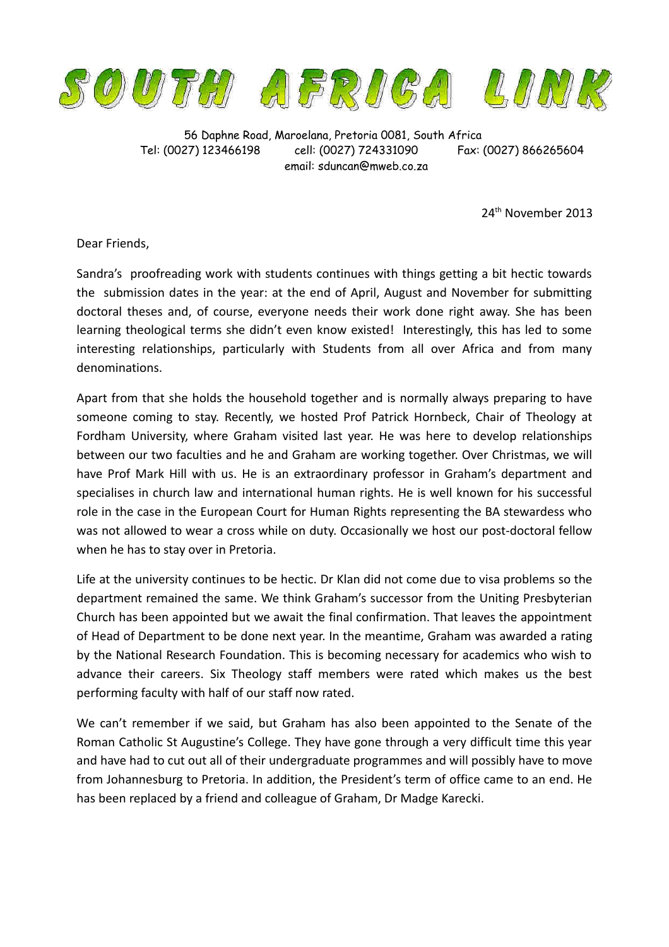

56 Daphne Road, Maroelana, Pretoria 0081, South Africa Tel: (0027) 123466198 cell: (0027) 724331090 Fax: (0027) 866265604 email: sduncan@mweb.co.za

24th November 2013

Dear Friends,

Sandra's proofreading work with students continues with things getting a bit hectic towards the submission dates in the year: at the end of April, August and November for submitting doctoral theses and, of course, everyone needs their work done right away. She has been learning theological terms she didn't even know existed! Interestingly, this has led to some interesting relationships, particularly with Students from all over Africa and from many denominations.

Apart from that she holds the household together and is normally always preparing to have someone coming to stay. Recently, we hosted Prof Patrick Hornbeck, Chair of Theology at Fordham University, where Graham visited last year. He was here to develop relationships between our two faculties and he and Graham are working together. Over Christmas, we will have Prof Mark Hill with us. He is an extraordinary professor in Graham's department and specialises in church law and international human rights. He is well known for his successful role in the case in the European Court for Human Rights representing the BA stewardess who was not allowed to wear a cross while on duty. Occasionally we host our post-doctoral fellow when he has to stay over in Pretoria.

Life at the university continues to be hectic. Dr Klan did not come due to visa problems so the department remained the same. We think Graham's successor from the Uniting Presbyterian Church has been appointed but we await the final confirmation. That leaves the appointment of Head of Department to be done next year. In the meantime, Graham was awarded a rating by the National Research Foundation. This is becoming necessary for academics who wish to advance their careers. Six Theology staff members were rated which makes us the best performing faculty with half of our staff now rated.

We can't remember if we said, but Graham has also been appointed to the Senate of the Roman Catholic St Augustine's College. They have gone through a very difficult time this year and have had to cut out all of their undergraduate programmes and will possibly have to move from Johannesburg to Pretoria. In addition, the President's term of office came to an end. He has been replaced by a friend and colleague of Graham, Dr Madge Karecki.